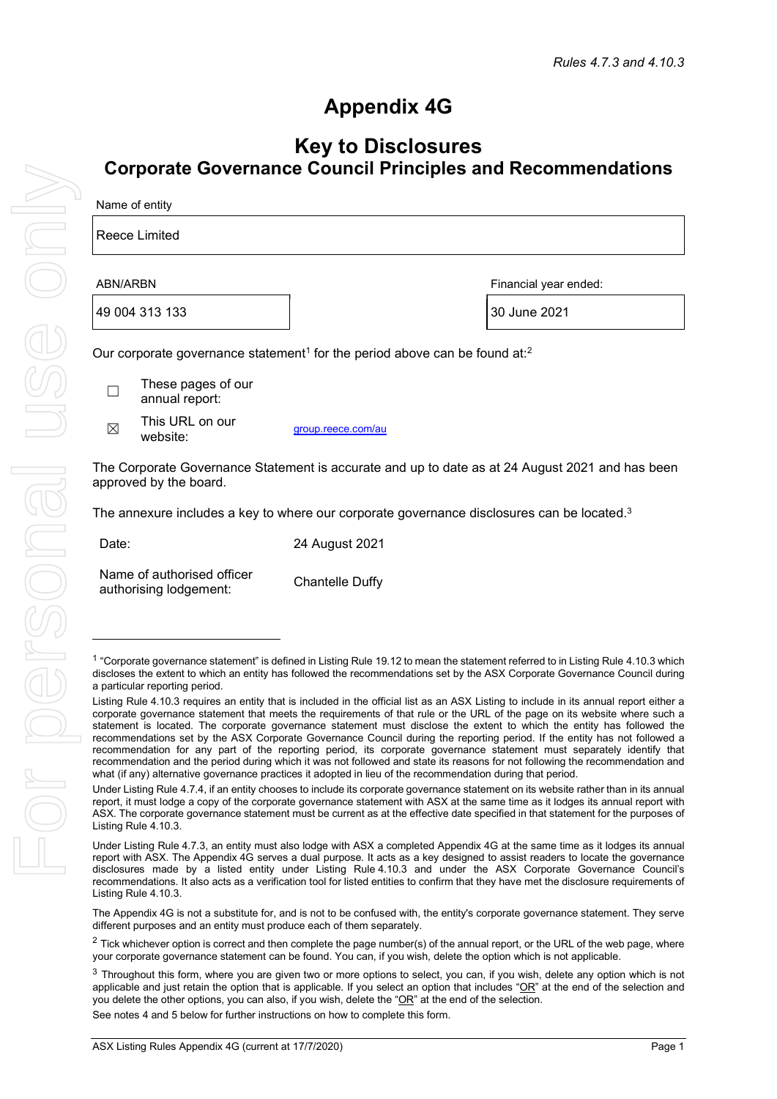## Appendix 4G

## Key to Disclosures Corporate Governance Council Principles and Recommendations

| Name of entity |                                                                                                    |                    |              |  |  |  |  |
|----------------|----------------------------------------------------------------------------------------------------|--------------------|--------------|--|--|--|--|
|                | Reece Limited                                                                                      |                    |              |  |  |  |  |
|                | ABN/ARBN<br>Financial year ended:                                                                  |                    |              |  |  |  |  |
|                | 49 004 313 133                                                                                     |                    | 30 June 2021 |  |  |  |  |
|                | Our corporate governance statement <sup>1</sup> for the period above can be found at: <sup>2</sup> |                    |              |  |  |  |  |
|                | These pages of our<br>annual report:                                                               |                    |              |  |  |  |  |
| $\boxtimes$    | This URL on our<br>website:                                                                        | group.reece.com/au |              |  |  |  |  |

The Corporate Governance Statement is accurate and up to date as at 24 August 2021 and has been approved by the board.

The annexure includes a key to where our corporate governance disclosures can be located.<sup>3</sup>

| Date: | 24 August 2021 |
|-------|----------------|
|       |                |

| Name of authorised officer |                        |
|----------------------------|------------------------|
| authorising lodgement:     | <b>Chantelle Duffy</b> |

The Appendix 4G is not a substitute for, and is not to be confused with, the entity's corporate governance statement. They serve different purposes and an entity must produce each of them separately.

See notes 4 and 5 below for further instructions on how to complete this form.

<sup>&</sup>lt;sup>1</sup> "Corporate governance statement" is defined in Listing Rule 19.12 to mean the statement referred to in Listing Rule 4.10.3 which discloses the extent to which an entity has followed the recommendations set by the ASX Corporate Governance Council during a particular reporting period.

Listing Rule 4.10.3 requires an entity that is included in the official list as an ASX Listing to include in its annual report either a corporate governance statement that meets the requirements of that rule or the URL of the page on its website where such a statement is located. The corporate governance statement must disclose the extent to which the entity has followed the recommendations set by the ASX Corporate Governance Council during the reporting period. If the entity has not followed a recommendation for any part of the reporting period, its corporate governance statement must separately identify that recommendation and the period during which it was not followed and state its reasons for not following the recommendation and what (if any) alternative governance practices it adopted in lieu of the recommendation during that period.

Under Listing Rule 4.7.4, if an entity chooses to include its corporate governance statement on its website rather than in its annual report, it must lodge a copy of the corporate governance statement with ASX at the same time as it lodges its annual report with ASX. The corporate governance statement must be current as at the effective date specified in that statement for the purposes of Listing Rule 4.10.3.

Under Listing Rule 4.7.3, an entity must also lodge with ASX a completed Appendix 4G at the same time as it lodges its annual report with ASX. The Appendix 4G serves a dual purpose. It acts as a key designed to assist readers to locate the governance disclosures made by a listed entity under Listing Rule 4.10.3 and under the ASX Corporate Governance Council's recommendations. It also acts as a verification tool for listed entities to confirm that they have met the disclosure requirements of Listing Rule 4.10.3.

 $2$  Tick whichever option is correct and then complete the page number(s) of the annual report, or the URL of the web page, where your corporate governance statement can be found. You can, if you wish, delete the option which is not applicable.

 $3$  Throughout this form, where you are given two or more options to select, you can, if you wish, delete any option which is not applicable and just retain the option that is applicable. If you select an option that includes " $OR$ " at the end of the selection and you delete the other options, you can also, if you wish, delete the "OR" at the end of the selection.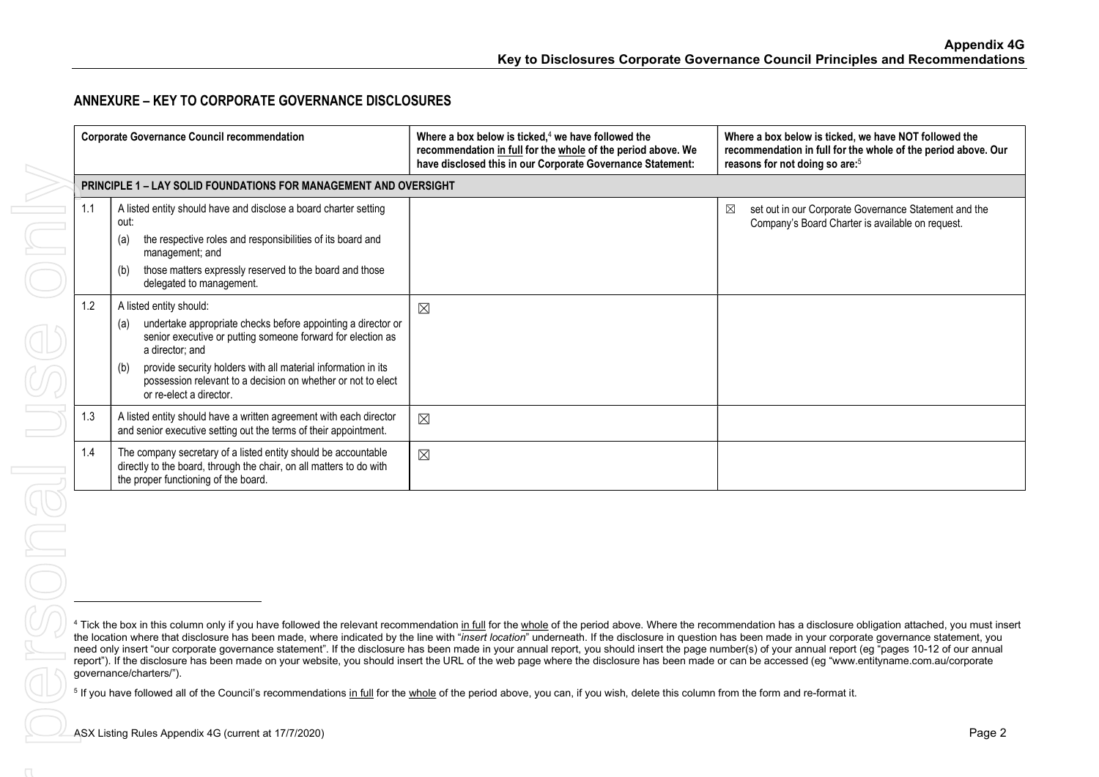## ANNEXURE – KEY TO CORPORATE GOVERNANCE DISCLOSURES

|                                                                                                                                                                                                                                                                                                                                                                                                                                                                                                                                                                                                                                                                                                                                                                                                                                                                               | <b>Corporate Governance Council recommendation</b> |                                                                                                                                                                                                                                                                                                                                                     | Where a box below is ticked, $4$ we have followed the<br>recommendation in full for the whole of the period above. We<br>have disclosed this in our Corporate Governance Statement: | Where a box below is ticked, we have NOT followed the<br>recommendation in full for the whole of the period above. Our<br>reasons for not doing so are: <sup>5</sup> |
|-------------------------------------------------------------------------------------------------------------------------------------------------------------------------------------------------------------------------------------------------------------------------------------------------------------------------------------------------------------------------------------------------------------------------------------------------------------------------------------------------------------------------------------------------------------------------------------------------------------------------------------------------------------------------------------------------------------------------------------------------------------------------------------------------------------------------------------------------------------------------------|----------------------------------------------------|-----------------------------------------------------------------------------------------------------------------------------------------------------------------------------------------------------------------------------------------------------------------------------------------------------------------------------------------------------|-------------------------------------------------------------------------------------------------------------------------------------------------------------------------------------|----------------------------------------------------------------------------------------------------------------------------------------------------------------------|
|                                                                                                                                                                                                                                                                                                                                                                                                                                                                                                                                                                                                                                                                                                                                                                                                                                                                               |                                                    | PRINCIPLE 1 - LAY SOLID FOUNDATIONS FOR MANAGEMENT AND OVERSIGHT                                                                                                                                                                                                                                                                                    |                                                                                                                                                                                     |                                                                                                                                                                      |
|                                                                                                                                                                                                                                                                                                                                                                                                                                                                                                                                                                                                                                                                                                                                                                                                                                                                               | 1.1                                                | A listed entity should have and disclose a board charter setting<br>out:<br>the respective roles and responsibilities of its board and<br>(a)<br>management; and<br>those matters expressly reserved to the board and those<br>(b)<br>delegated to management.                                                                                      |                                                                                                                                                                                     | $\boxtimes$<br>set out in our Corporate Governance Statement and the<br>Company's Board Charter is available on request.                                             |
|                                                                                                                                                                                                                                                                                                                                                                                                                                                                                                                                                                                                                                                                                                                                                                                                                                                                               | 1.2                                                | A listed entity should:<br>undertake appropriate checks before appointing a director or<br>(a)<br>senior executive or putting someone forward for election as<br>a director; and<br>provide security holders with all material information in its<br>(b)<br>possession relevant to a decision on whether or not to elect<br>or re-elect a director. | $\boxtimes$                                                                                                                                                                         |                                                                                                                                                                      |
|                                                                                                                                                                                                                                                                                                                                                                                                                                                                                                                                                                                                                                                                                                                                                                                                                                                                               | 1.3                                                | A listed entity should have a written agreement with each director<br>and senior executive setting out the terms of their appointment.                                                                                                                                                                                                              | $\boxtimes$                                                                                                                                                                         |                                                                                                                                                                      |
|                                                                                                                                                                                                                                                                                                                                                                                                                                                                                                                                                                                                                                                                                                                                                                                                                                                                               | 1.4                                                | The company secretary of a listed entity should be accountable<br>directly to the board, through the chair, on all matters to do with<br>the proper functioning of the board.                                                                                                                                                                       | $\boxtimes$                                                                                                                                                                         |                                                                                                                                                                      |
| JO                                                                                                                                                                                                                                                                                                                                                                                                                                                                                                                                                                                                                                                                                                                                                                                                                                                                            |                                                    |                                                                                                                                                                                                                                                                                                                                                     |                                                                                                                                                                                     |                                                                                                                                                                      |
| <sup>4</sup> Tick the box in this column only if you have followed the relevant recommendation in full for the whole of the period above. Where the recommendation has a disclosure obligation attached, you must insert<br>the location where that disclosure has been made, where indicated by the line with "insert location" underneath. If the disclosure in question has been made in your corporate governance statement, you<br>need only insert "our corporate governance statement". If the disclosure has been made in your annual report, you should insert the page number(s) of your annual report (eg "pages 10-12 of our annual<br>report"). If the disclosure has been made on your website, you should insert the URL of the web page where the disclosure has been made or can be accessed (eg "www.entityname.com.au/corporate<br>governance/charters/"). |                                                    |                                                                                                                                                                                                                                                                                                                                                     |                                                                                                                                                                                     |                                                                                                                                                                      |
| <sup>5</sup> If you have followed all of the Council's recommendations in full for the whole of the period above, you can, if you wish, delete this column from the form and re-format it.                                                                                                                                                                                                                                                                                                                                                                                                                                                                                                                                                                                                                                                                                    |                                                    |                                                                                                                                                                                                                                                                                                                                                     |                                                                                                                                                                                     |                                                                                                                                                                      |
|                                                                                                                                                                                                                                                                                                                                                                                                                                                                                                                                                                                                                                                                                                                                                                                                                                                                               |                                                    | ASX Listing Rules Appendix 4G (current at 17/7/2020)                                                                                                                                                                                                                                                                                                |                                                                                                                                                                                     | Page 2                                                                                                                                                               |
|                                                                                                                                                                                                                                                                                                                                                                                                                                                                                                                                                                                                                                                                                                                                                                                                                                                                               |                                                    |                                                                                                                                                                                                                                                                                                                                                     |                                                                                                                                                                                     |                                                                                                                                                                      |
|                                                                                                                                                                                                                                                                                                                                                                                                                                                                                                                                                                                                                                                                                                                                                                                                                                                                               |                                                    |                                                                                                                                                                                                                                                                                                                                                     |                                                                                                                                                                                     |                                                                                                                                                                      |
|                                                                                                                                                                                                                                                                                                                                                                                                                                                                                                                                                                                                                                                                                                                                                                                                                                                                               |                                                    |                                                                                                                                                                                                                                                                                                                                                     |                                                                                                                                                                                     |                                                                                                                                                                      |

<sup>&</sup>lt;sup>4</sup> Tick the box in this column only if you have followed the relevant recommendation in full for the whole of the period above. Where the recommendation has a disclosure obligation attached, you must insert the location where that disclosure has been made, where indicated by the line with "insert location" underneath. If the disclosure in question has been made in your corporate governance statement, you need only insert "our corporate governance statement". If the disclosure has been made in your annual report, you should insert the page number(s) of your annual report (eg "pages 10-12 of our annual report"). If the disclosure has been made on your website, you should insert the URL of the web page where the disclosure has been made or can be accessed (eg "www.entityname.com.au/corporate governance/charters/").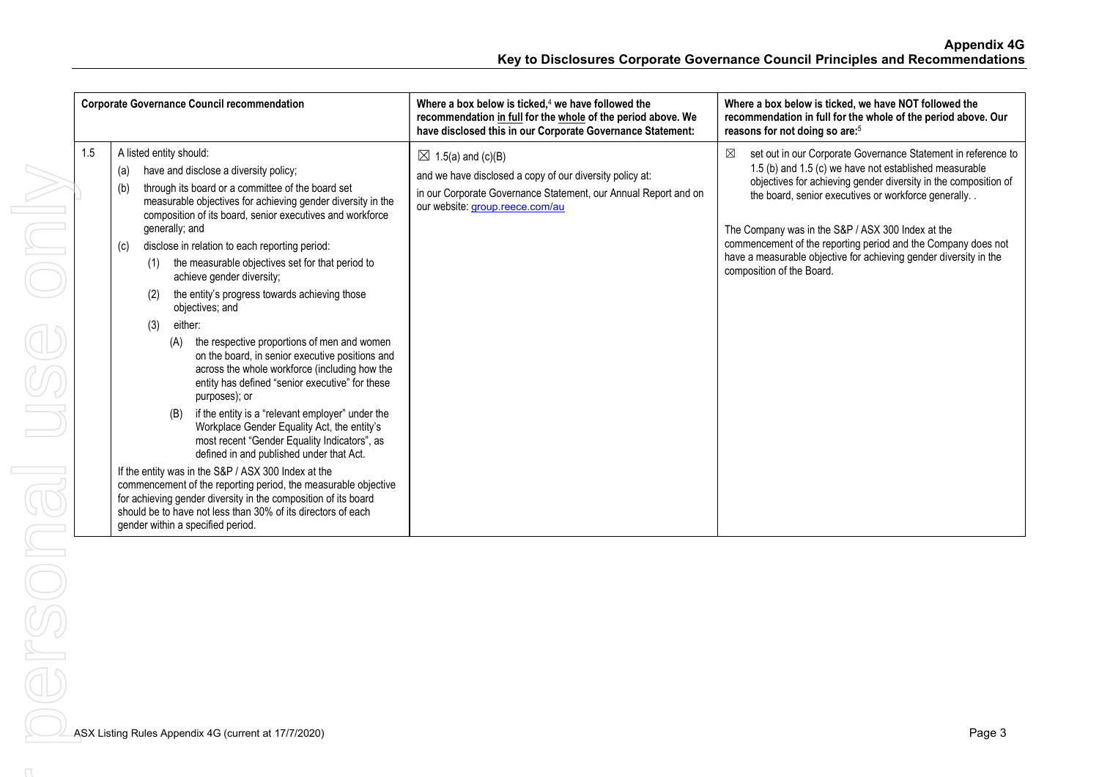| <b>Corporate Governance Council recommendation</b>                                                                                                                                                                                                                                                                                                                                                                                                                                                                                                                                                                                                                                                                                                                                                                                                                                                                                                                                                                                                                                                                                                                                                                                                                         | Where a box below is ticked. $4$ we have followed the<br>recommendation in full for the whole of the period above. We<br>have disclosed this in our Corporate Governance Statement:             | Where a box below is ticked, we have NOT followed the<br>recommendation in full for the whole of the period above. Our<br>reasons for not doing so are: <sup>5</sup>                                                                                                                                                                                                                                                                                                           |
|----------------------------------------------------------------------------------------------------------------------------------------------------------------------------------------------------------------------------------------------------------------------------------------------------------------------------------------------------------------------------------------------------------------------------------------------------------------------------------------------------------------------------------------------------------------------------------------------------------------------------------------------------------------------------------------------------------------------------------------------------------------------------------------------------------------------------------------------------------------------------------------------------------------------------------------------------------------------------------------------------------------------------------------------------------------------------------------------------------------------------------------------------------------------------------------------------------------------------------------------------------------------------|-------------------------------------------------------------------------------------------------------------------------------------------------------------------------------------------------|--------------------------------------------------------------------------------------------------------------------------------------------------------------------------------------------------------------------------------------------------------------------------------------------------------------------------------------------------------------------------------------------------------------------------------------------------------------------------------|
| 1.5<br>A listed entity should:<br>have and disclose a diversity policy;<br>(a)<br>through its board or a committee of the board set<br>(b)<br>measurable objectives for achieving gender diversity in the<br>composition of its board, senior executives and workforce<br>generally; and<br>disclose in relation to each reporting period:<br>(c)<br>the measurable objectives set for that period to<br>(1)<br>achieve gender diversity;<br>the entity's progress towards achieving those<br>(2)<br>objectives; and<br>either:<br>(3)<br>the respective proportions of men and women<br>(A)<br>on the board, in senior executive positions and<br>across the whole workforce (including how the<br>entity has defined "senior executive" for these<br>purposes); or<br>if the entity is a "relevant employer" under the<br>(B)<br>Workplace Gender Equality Act, the entity's<br>most recent "Gender Equality Indicators", as<br>defined in and published under that Act.<br>If the entity was in the S&P / ASX 300 Index at the<br>commencement of the reporting period, the measurable objective<br>for achieving gender diversity in the composition of its board<br>should be to have not less than 30% of its directors of each<br>gender within a specified period. | $\boxtimes$ 1.5(a) and (c)(B)<br>and we have disclosed a copy of our diversity policy at:<br>in our Corporate Governance Statement, our Annual Report and on<br>our website: group.reece.com/au | ⊠<br>set out in our Corporate Governance Statement in reference to<br>1.5 (b) and 1.5 (c) we have not established measurable<br>objectives for achieving gender diversity in the composition of<br>the board, senior executives or workforce generally<br>The Company was in the S&P / ASX 300 Index at the<br>commencement of the reporting period and the Company does not<br>have a measurable objective for achieving gender diversity in the<br>composition of the Board. |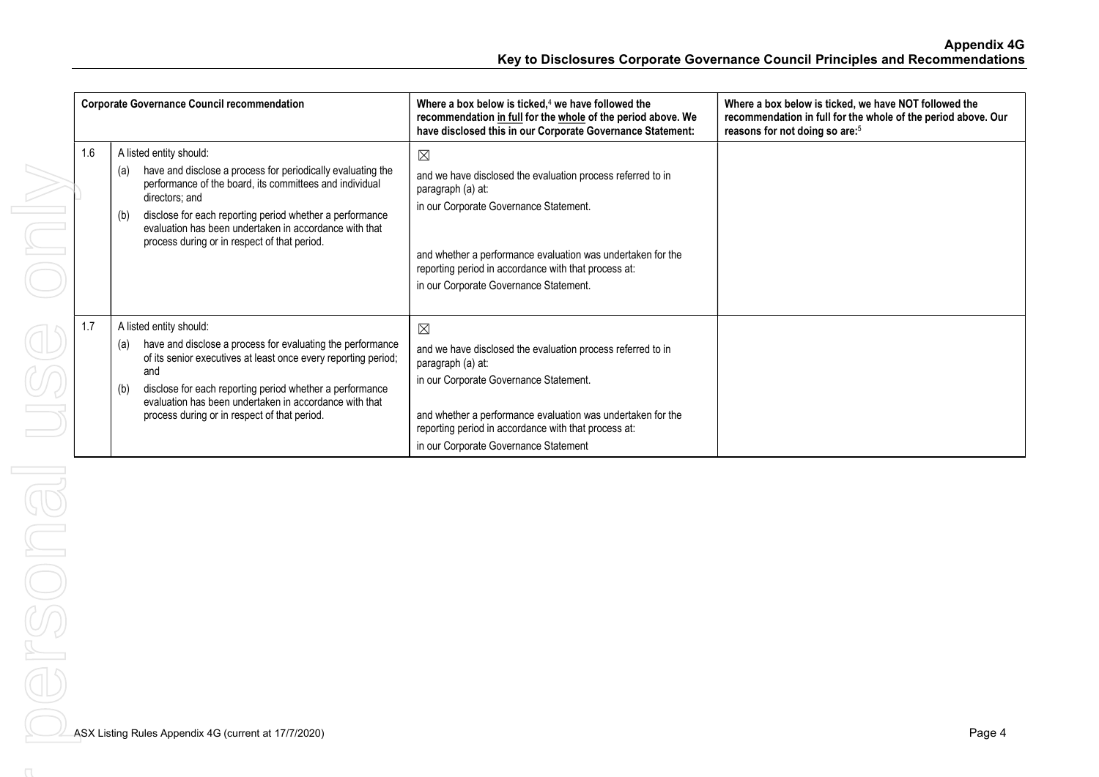|     | <b>Corporate Governance Council recommendation</b>                                                                                                                                                                                                                                                                                                      | Where a box below is ticked, $4$ we have followed the<br>recommendation in full for the whole of the period above. We<br>have disclosed this in our Corporate Governance Statement:                                                                                                                        | Where a box below is ticked, we have NOT followed the<br>recommendation in full for the whole of the period above. Our<br>reasons for not doing so are: <sup>5</sup> |
|-----|---------------------------------------------------------------------------------------------------------------------------------------------------------------------------------------------------------------------------------------------------------------------------------------------------------------------------------------------------------|------------------------------------------------------------------------------------------------------------------------------------------------------------------------------------------------------------------------------------------------------------------------------------------------------------|----------------------------------------------------------------------------------------------------------------------------------------------------------------------|
| 1.6 | A listed entity should:<br>have and disclose a process for periodically evaluating the<br>(a)<br>performance of the board, its committees and individual<br>directors; and<br>disclose for each reporting period whether a performance<br>(b)<br>evaluation has been undertaken in accordance with that<br>process during or in respect of that period. | $\boxtimes$<br>and we have disclosed the evaluation process referred to in<br>paragraph (a) at:<br>in our Corporate Governance Statement.<br>and whether a performance evaluation was undertaken for the<br>reporting period in accordance with that process at:<br>in our Corporate Governance Statement. |                                                                                                                                                                      |
| 1.7 | A listed entity should:<br>have and disclose a process for evaluating the performance<br>(a)<br>of its senior executives at least once every reporting period;<br>and<br>disclose for each reporting period whether a performance<br>(b)<br>evaluation has been undertaken in accordance with that<br>process during or in respect of that period.      | $\boxtimes$<br>and we have disclosed the evaluation process referred to in<br>paragraph (a) at:<br>in our Corporate Governance Statement.<br>and whether a performance evaluation was undertaken for the<br>reporting period in accordance with that process at:<br>in our Corporate Governance Statement  |                                                                                                                                                                      |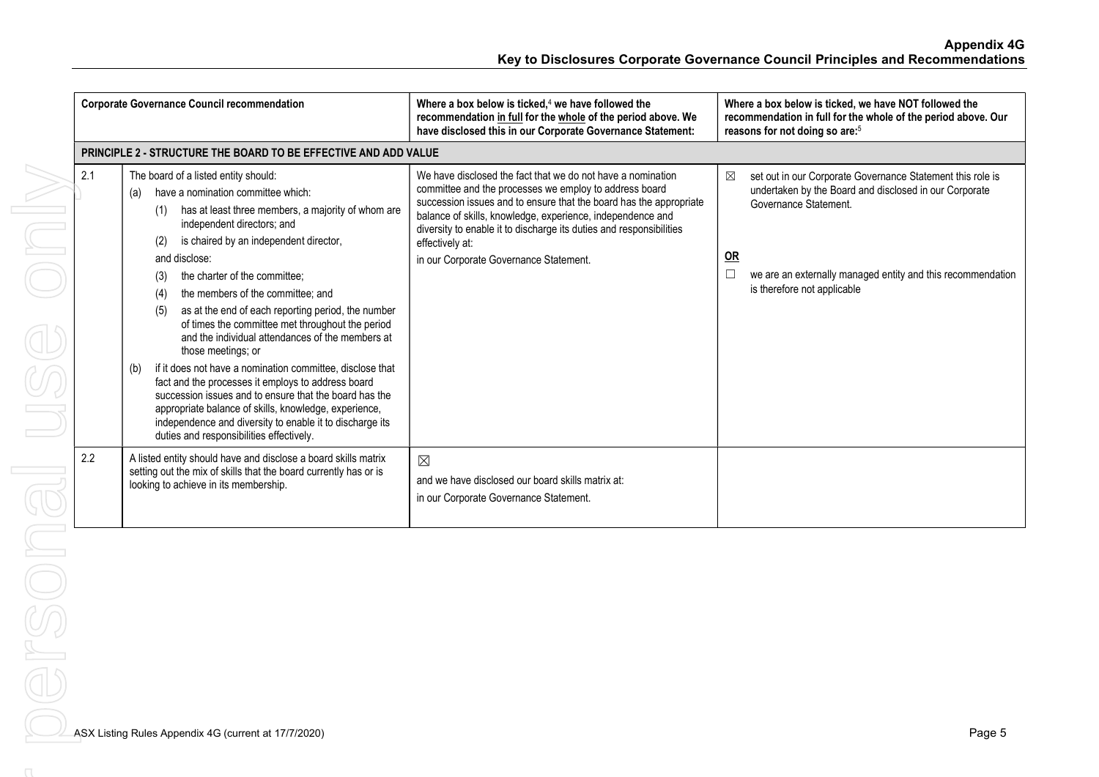Appendix 4G Key to Disclosures Corporate Governance Council Principles and Recommendations

|     | <b>Corporate Governance Council recommendation</b>                                                                                                                                                                                                                                                                                                                                                                                                                                                                                                                                                                                                                                                                                                                                                                                                                                 | Where a box below is ticked, $4$ we have followed the<br>recommendation in full for the whole of the period above. We<br>have disclosed this in our Corporate Governance Statement:                                                                                                                                                                                                           | Where a box below is ticked, we have NOT followed the<br>recommendation in full for the whole of the period above. Our<br>reasons for not doing so are: <sup>5</sup>                                                                                               |  |
|-----|------------------------------------------------------------------------------------------------------------------------------------------------------------------------------------------------------------------------------------------------------------------------------------------------------------------------------------------------------------------------------------------------------------------------------------------------------------------------------------------------------------------------------------------------------------------------------------------------------------------------------------------------------------------------------------------------------------------------------------------------------------------------------------------------------------------------------------------------------------------------------------|-----------------------------------------------------------------------------------------------------------------------------------------------------------------------------------------------------------------------------------------------------------------------------------------------------------------------------------------------------------------------------------------------|--------------------------------------------------------------------------------------------------------------------------------------------------------------------------------------------------------------------------------------------------------------------|--|
|     | <b>PRINCIPLE 2 - STRUCTURE THE BOARD TO BE EFFECTIVE AND ADD VALUE</b>                                                                                                                                                                                                                                                                                                                                                                                                                                                                                                                                                                                                                                                                                                                                                                                                             |                                                                                                                                                                                                                                                                                                                                                                                               |                                                                                                                                                                                                                                                                    |  |
| 2.1 | The board of a listed entity should:<br>have a nomination committee which:<br>(a)<br>has at least three members, a majority of whom are<br>(1)<br>independent directors; and<br>is chaired by an independent director,<br>(2)<br>and disclose:<br>the charter of the committee:<br>(3)<br>the members of the committee; and<br>(4)<br>as at the end of each reporting period, the number<br>(5)<br>of times the committee met throughout the period<br>and the individual attendances of the members at<br>those meetings; or<br>if it does not have a nomination committee, disclose that<br>(b)<br>fact and the processes it employs to address board<br>succession issues and to ensure that the board has the<br>appropriate balance of skills, knowledge, experience,<br>independence and diversity to enable it to discharge its<br>duties and responsibilities effectively. | We have disclosed the fact that we do not have a nomination<br>committee and the processes we employ to address board<br>succession issues and to ensure that the board has the appropriate<br>balance of skills, knowledge, experience, independence and<br>diversity to enable it to discharge its duties and responsibilities<br>effectively at:<br>in our Corporate Governance Statement. | ⊠<br>set out in our Corporate Governance Statement this role is<br>undertaken by the Board and disclosed in our Corporate<br>Governance Statement.<br>$OR$<br>we are an externally managed entity and this recommendation<br>$\Box$<br>is therefore not applicable |  |
| 2.2 | A listed entity should have and disclose a board skills matrix<br>setting out the mix of skills that the board currently has or is<br>looking to achieve in its membership.                                                                                                                                                                                                                                                                                                                                                                                                                                                                                                                                                                                                                                                                                                        | $\boxtimes$<br>and we have disclosed our board skills matrix at:<br>in our Corporate Governance Statement.                                                                                                                                                                                                                                                                                    |                                                                                                                                                                                                                                                                    |  |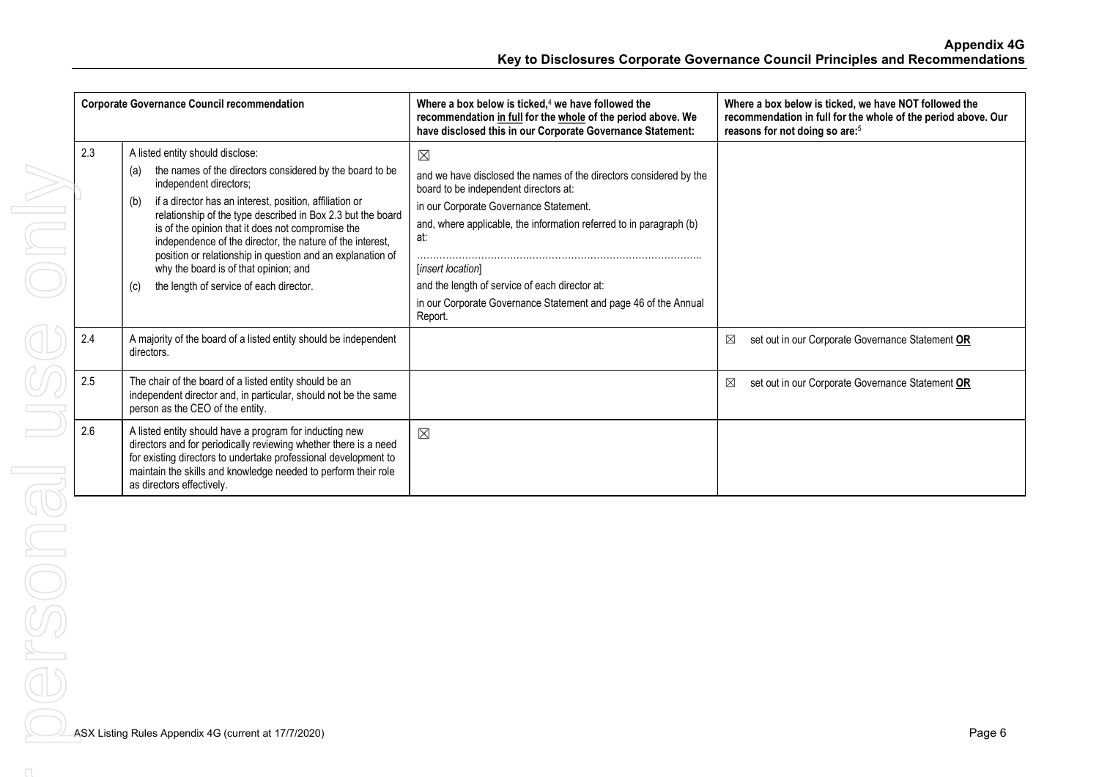|     | <b>Corporate Governance Council recommendation</b>                                                                                                                                                                                                                                                                                                                                                                                                                                                                                        | Where a box below is ticked, $4$ we have followed the<br>recommendation in full for the whole of the period above. We<br>have disclosed this in our Corporate Governance Statement:                                                                                                                                                                                                                     | Where a box below is ticked, we have NOT followed the<br>recommendation in full for the whole of the period above. Our<br>reasons for not doing so are: <sup>5</sup> |
|-----|-------------------------------------------------------------------------------------------------------------------------------------------------------------------------------------------------------------------------------------------------------------------------------------------------------------------------------------------------------------------------------------------------------------------------------------------------------------------------------------------------------------------------------------------|---------------------------------------------------------------------------------------------------------------------------------------------------------------------------------------------------------------------------------------------------------------------------------------------------------------------------------------------------------------------------------------------------------|----------------------------------------------------------------------------------------------------------------------------------------------------------------------|
| 2.3 | A listed entity should disclose:<br>the names of the directors considered by the board to be<br>(a)<br>independent directors;<br>if a director has an interest, position, affiliation or<br>(b)<br>relationship of the type described in Box 2.3 but the board<br>is of the opinion that it does not compromise the<br>independence of the director, the nature of the interest,<br>position or relationship in question and an explanation of<br>why the board is of that opinion; and<br>the length of service of each director.<br>(c) | $\boxtimes$<br>and we have disclosed the names of the directors considered by the<br>board to be independent directors at:<br>in our Corporate Governance Statement.<br>and, where applicable, the information referred to in paragraph (b)<br>at:<br>[insert location]<br>and the length of service of each director at:<br>in our Corporate Governance Statement and page 46 of the Annual<br>Report. |                                                                                                                                                                      |
| 2.4 | A majority of the board of a listed entity should be independent<br>directors.                                                                                                                                                                                                                                                                                                                                                                                                                                                            |                                                                                                                                                                                                                                                                                                                                                                                                         | set out in our Corporate Governance Statement OR<br>⊠                                                                                                                |
| 2.5 | The chair of the board of a listed entity should be an<br>independent director and, in particular, should not be the same<br>person as the CEO of the entity.                                                                                                                                                                                                                                                                                                                                                                             |                                                                                                                                                                                                                                                                                                                                                                                                         | set out in our Corporate Governance Statement OR<br>⊠                                                                                                                |
| 2.6 | A listed entity should have a program for inducting new<br>directors and for periodically reviewing whether there is a need<br>for existing directors to undertake professional development to<br>maintain the skills and knowledge needed to perform their role<br>as directors effectively.                                                                                                                                                                                                                                             | $\boxtimes$                                                                                                                                                                                                                                                                                                                                                                                             |                                                                                                                                                                      |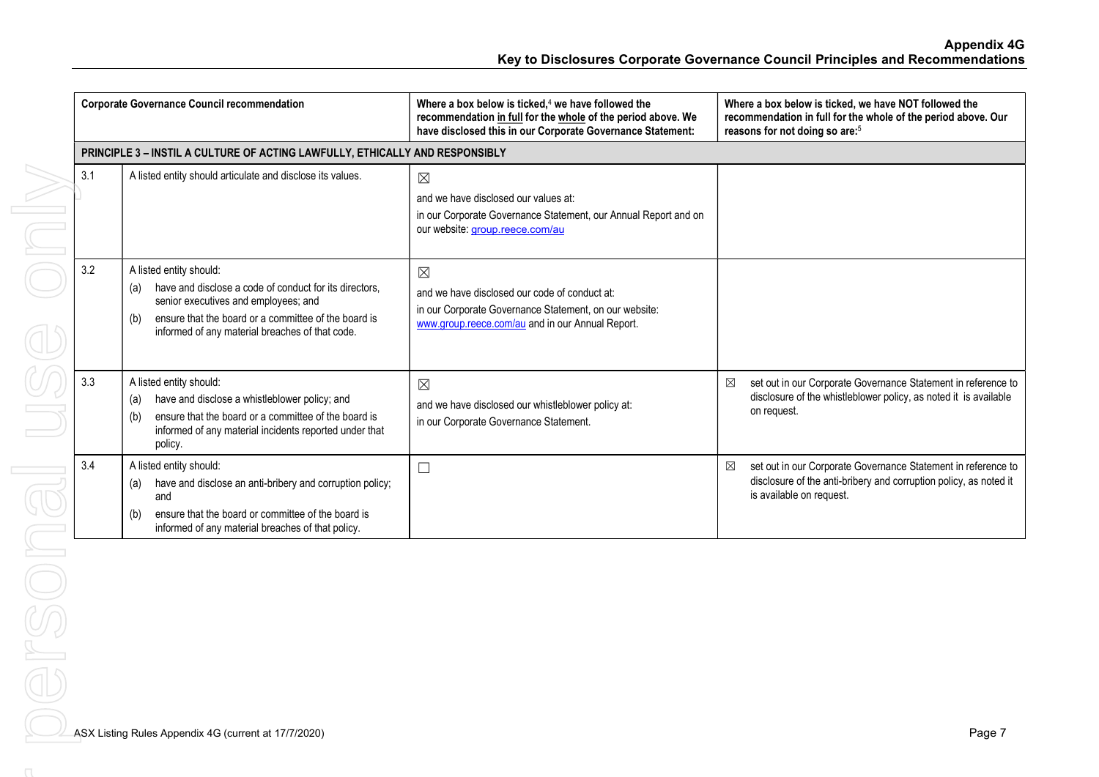Appendix 4G Key to Disclosures Corporate Governance Council Principles and Recommendations

|     | <b>Corporate Governance Council recommendation</b>                                                                                                                                                                                                 | Where a box below is ticked, $4$ we have followed the<br>recommendation in full for the whole of the period above. We<br>have disclosed this in our Corporate Governance Statement: | Where a box below is ticked, we have NOT followed the<br>recommendation in full for the whole of the period above. Our<br>reasons for not doing so are: <sup>5</sup> |  |
|-----|----------------------------------------------------------------------------------------------------------------------------------------------------------------------------------------------------------------------------------------------------|-------------------------------------------------------------------------------------------------------------------------------------------------------------------------------------|----------------------------------------------------------------------------------------------------------------------------------------------------------------------|--|
|     | PRINCIPLE 3 - INSTIL A CULTURE OF ACTING LAWFULLY, ETHICALLY AND RESPONSIBLY                                                                                                                                                                       |                                                                                                                                                                                     |                                                                                                                                                                      |  |
| 3.1 | A listed entity should articulate and disclose its values.                                                                                                                                                                                         | $\boxtimes$<br>and we have disclosed our values at:<br>in our Corporate Governance Statement, our Annual Report and on<br>our website: group.reece.com/au                           |                                                                                                                                                                      |  |
| 3.2 | A listed entity should:<br>have and disclose a code of conduct for its directors.<br>(a)<br>senior executives and employees; and<br>ensure that the board or a committee of the board is<br>(b)<br>informed of any material breaches of that code. | $\boxtimes$<br>and we have disclosed our code of conduct at:<br>in our Corporate Governance Statement, on our website:<br>www.group.reece.com/au and in our Annual Report.          |                                                                                                                                                                      |  |
| 3.3 | A listed entity should:<br>have and disclose a whistleblower policy; and<br>(a)<br>ensure that the board or a committee of the board is<br>(b)<br>informed of any material incidents reported under that<br>policy.                                | $\boxtimes$<br>and we have disclosed our whistleblower policy at:<br>in our Corporate Governance Statement.                                                                         | set out in our Corporate Governance Statement in reference to<br>⊠<br>disclosure of the whistleblower policy, as noted it is available<br>on request.                |  |
| 3.4 | A listed entity should:<br>have and disclose an anti-bribery and corruption policy;<br>(a)<br>and<br>ensure that the board or committee of the board is<br>(b)<br>informed of any material breaches of that policy.                                | $\Box$                                                                                                                                                                              | ⊠<br>set out in our Corporate Governance Statement in reference to<br>disclosure of the anti-bribery and corruption policy, as noted it<br>is available on request.  |  |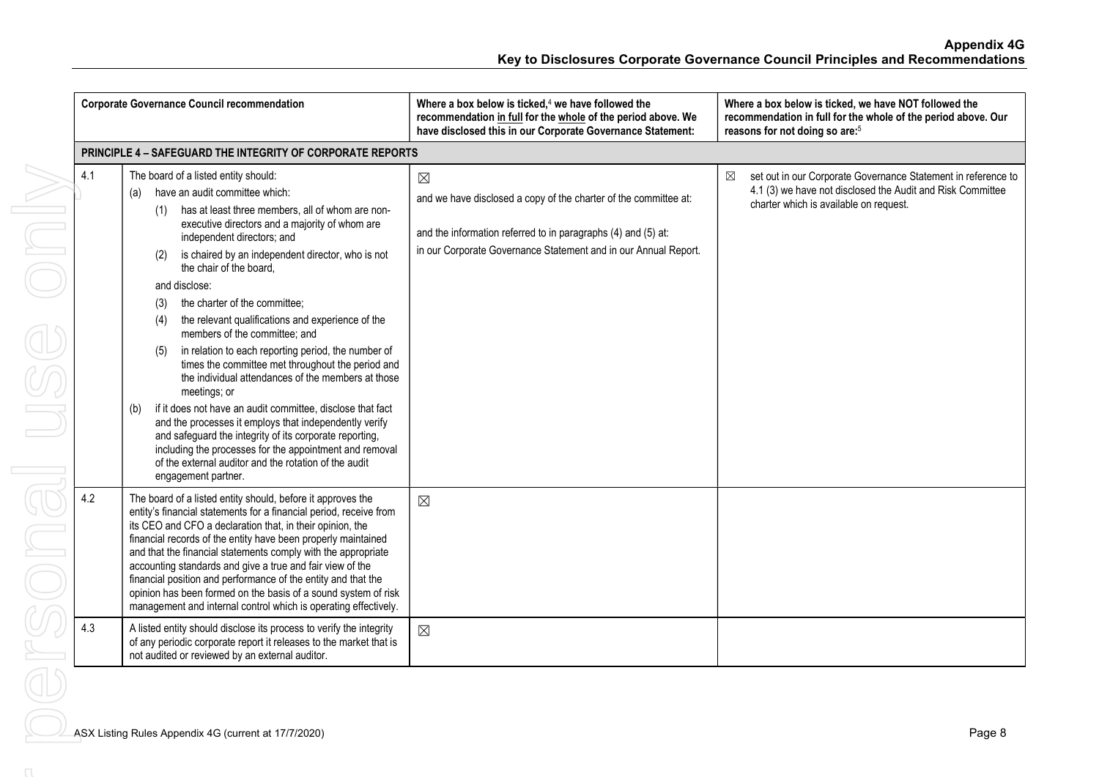| <b>Corporate Governance Council recommendation</b> |                                                                   |                                 |                                                                                                                                                                                                                                                                                                                                                                                                                                                                                                                                                                                                                                                                                                                                                                                                                                                                                                                             | Where a box below is ticked, $4$ we have followed the<br>recommendation in full for the whole of the period above. We<br>have disclosed this in our Corporate Governance Statement:                                 |   | Where a box below is ticked, we have NOT followed the<br>recommendation in full for the whole of the period above. Our<br>reasons for not doing so are: <sup>5</sup>  |
|----------------------------------------------------|-------------------------------------------------------------------|---------------------------------|-----------------------------------------------------------------------------------------------------------------------------------------------------------------------------------------------------------------------------------------------------------------------------------------------------------------------------------------------------------------------------------------------------------------------------------------------------------------------------------------------------------------------------------------------------------------------------------------------------------------------------------------------------------------------------------------------------------------------------------------------------------------------------------------------------------------------------------------------------------------------------------------------------------------------------|---------------------------------------------------------------------------------------------------------------------------------------------------------------------------------------------------------------------|---|-----------------------------------------------------------------------------------------------------------------------------------------------------------------------|
|                                                    | <b>PRINCIPLE 4 - SAFEGUARD THE INTEGRITY OF CORPORATE REPORTS</b> |                                 |                                                                                                                                                                                                                                                                                                                                                                                                                                                                                                                                                                                                                                                                                                                                                                                                                                                                                                                             |                                                                                                                                                                                                                     |   |                                                                                                                                                                       |
| 4.1                                                | (a)<br>(b)                                                        | (1)<br>(2)<br>(3)<br>(4)<br>(5) | The board of a listed entity should:<br>have an audit committee which:<br>has at least three members, all of whom are non-<br>executive directors and a majority of whom are<br>independent directors; and<br>is chaired by an independent director, who is not<br>the chair of the board.<br>and disclose:<br>the charter of the committee;<br>the relevant qualifications and experience of the<br>members of the committee; and<br>in relation to each reporting period, the number of<br>times the committee met throughout the period and<br>the individual attendances of the members at those<br>meetings; or<br>if it does not have an audit committee, disclose that fact<br>and the processes it employs that independently verify<br>and safeguard the integrity of its corporate reporting,<br>including the processes for the appointment and removal<br>of the external auditor and the rotation of the audit | $\boxtimes$<br>and we have disclosed a copy of the charter of the committee at:<br>and the information referred to in paragraphs (4) and (5) at:<br>in our Corporate Governance Statement and in our Annual Report. | ⊠ | set out in our Corporate Governance Statement in reference to<br>4.1 (3) we have not disclosed the Audit and Risk Committee<br>charter which is available on request. |
| 4.2                                                |                                                                   |                                 | engagement partner.<br>The board of a listed entity should, before it approves the<br>entity's financial statements for a financial period, receive from<br>its CEO and CFO a declaration that, in their opinion, the<br>financial records of the entity have been properly maintained<br>and that the financial statements comply with the appropriate<br>accounting standards and give a true and fair view of the<br>financial position and performance of the entity and that the<br>opinion has been formed on the basis of a sound system of risk<br>management and internal control which is operating effectively.                                                                                                                                                                                                                                                                                                  | $\boxtimes$                                                                                                                                                                                                         |   |                                                                                                                                                                       |
| 4.3                                                |                                                                   |                                 | A listed entity should disclose its process to verify the integrity<br>of any periodic corporate report it releases to the market that is<br>not audited or reviewed by an external auditor.                                                                                                                                                                                                                                                                                                                                                                                                                                                                                                                                                                                                                                                                                                                                | $\boxtimes$                                                                                                                                                                                                         |   |                                                                                                                                                                       |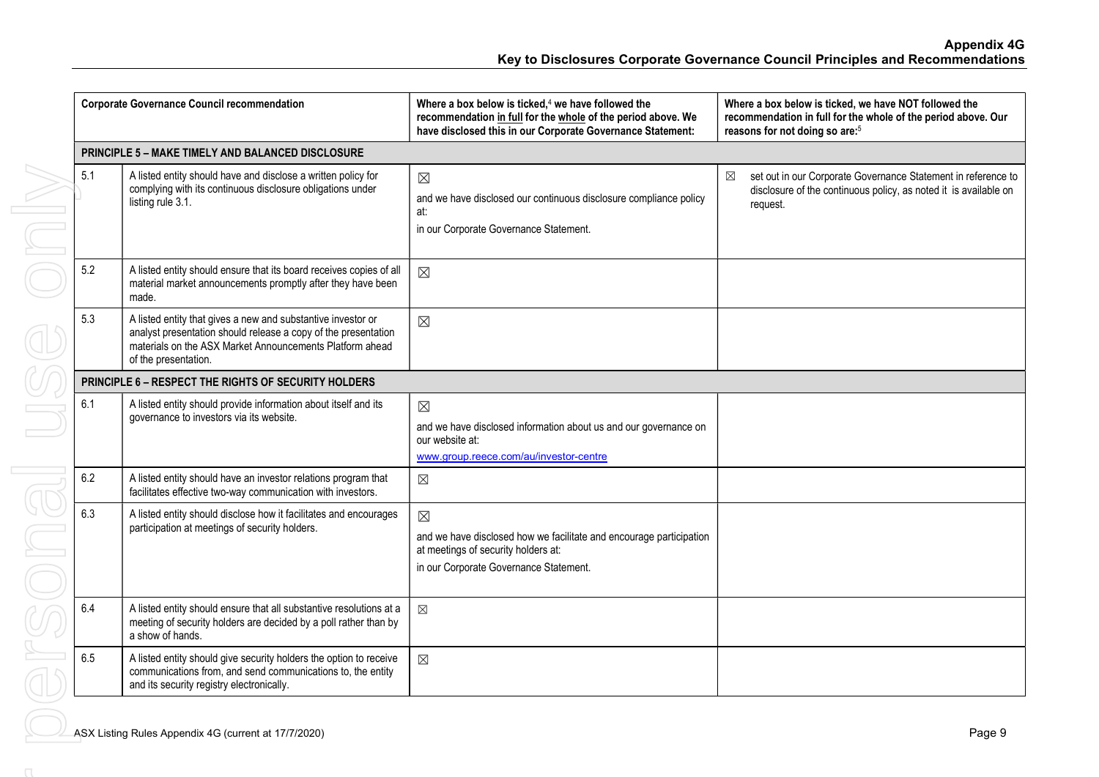|     | <b>Corporate Governance Council recommendation</b>                                                                                                                                                                 | Where a box below is ticked, $4$ we have followed the<br>recommendation in full for the whole of the period above. We<br>have disclosed this in our Corporate Governance Statement: | Where a box below is ticked, we have NOT followed the<br>recommendation in full for the whole of the period above. Our<br>reasons for not doing so are: <sup>5</sup> |
|-----|--------------------------------------------------------------------------------------------------------------------------------------------------------------------------------------------------------------------|-------------------------------------------------------------------------------------------------------------------------------------------------------------------------------------|----------------------------------------------------------------------------------------------------------------------------------------------------------------------|
|     | <b>PRINCIPLE 5 - MAKE TIMELY AND BALANCED DISCLOSURE</b>                                                                                                                                                           |                                                                                                                                                                                     |                                                                                                                                                                      |
| 5.1 | A listed entity should have and disclose a written policy for<br>complying with its continuous disclosure obligations under<br>listing rule 3.1.                                                                   | $\boxtimes$<br>and we have disclosed our continuous disclosure compliance policy<br>at:<br>in our Corporate Governance Statement.                                                   | set out in our Corporate Governance Statement in reference to<br>$\boxtimes$<br>disclosure of the continuous policy, as noted it is available on<br>request.         |
| 5.2 | A listed entity should ensure that its board receives copies of all<br>material market announcements promptly after they have been<br>made.                                                                        | $\boxtimes$                                                                                                                                                                         |                                                                                                                                                                      |
| 5.3 | A listed entity that gives a new and substantive investor or<br>analyst presentation should release a copy of the presentation<br>materials on the ASX Market Announcements Platform ahead<br>of the presentation. | $\boxtimes$                                                                                                                                                                         |                                                                                                                                                                      |
|     | PRINCIPLE 6 - RESPECT THE RIGHTS OF SECURITY HOLDERS                                                                                                                                                               |                                                                                                                                                                                     |                                                                                                                                                                      |
| 6.1 | A listed entity should provide information about itself and its<br>governance to investors via its website.                                                                                                        | $\boxtimes$<br>and we have disclosed information about us and our governance on<br>our website at:<br>www.group.reece.com/au/investor-centre                                        |                                                                                                                                                                      |
| 6.2 | A listed entity should have an investor relations program that<br>facilitates effective two-way communication with investors.                                                                                      | $\times$                                                                                                                                                                            |                                                                                                                                                                      |
| 6.3 | A listed entity should disclose how it facilitates and encourages<br>participation at meetings of security holders.                                                                                                | $\boxtimes$<br>and we have disclosed how we facilitate and encourage participation<br>at meetings of security holders at:<br>in our Corporate Governance Statement.                 |                                                                                                                                                                      |
| 6.4 | A listed entity should ensure that all substantive resolutions at a<br>meeting of security holders are decided by a poll rather than by<br>a show of hands.                                                        | $\boxtimes$                                                                                                                                                                         |                                                                                                                                                                      |
| 6.5 | A listed entity should give security holders the option to receive<br>communications from, and send communications to, the entity<br>and its security registry electronically.                                     | $\boxtimes$                                                                                                                                                                         |                                                                                                                                                                      |
|     | ASX Listing Rules Appendix 4G (current at 17/7/2020)                                                                                                                                                               |                                                                                                                                                                                     | Page 9                                                                                                                                                               |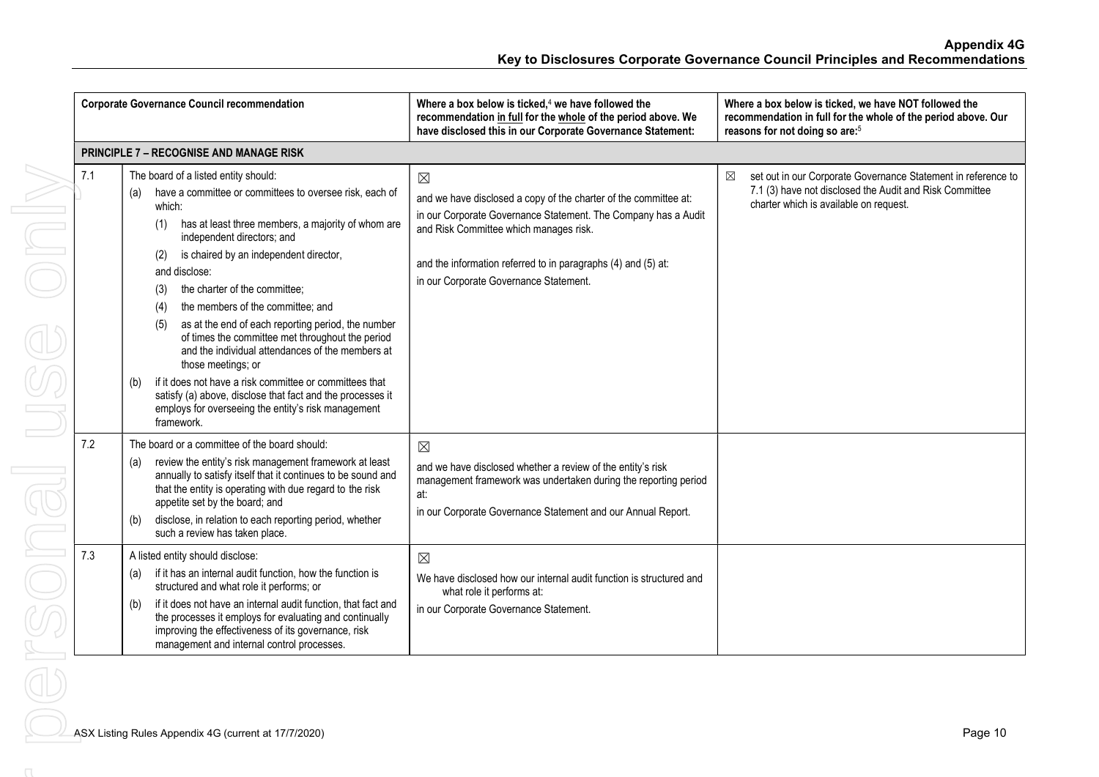| <b>Corporate Governance Council recommendation</b> |                                                                                                                                                                                                                                                                                                                                                                                                                                                                                                                                                                                                                                                                                                                                                                              | Where a box below is ticked, <sup>4</sup> we have followed the<br>recommendation in full for the whole of the period above. We<br>have disclosed this in our Corporate Governance Statement:                                                                                                                                                                                      | Where a box below is ticked, we have NOT followed the<br>recommendation in full for the whole of the period above. Our<br>reasons for not doing so are: <sup>5</sup>    |
|----------------------------------------------------|------------------------------------------------------------------------------------------------------------------------------------------------------------------------------------------------------------------------------------------------------------------------------------------------------------------------------------------------------------------------------------------------------------------------------------------------------------------------------------------------------------------------------------------------------------------------------------------------------------------------------------------------------------------------------------------------------------------------------------------------------------------------------|-----------------------------------------------------------------------------------------------------------------------------------------------------------------------------------------------------------------------------------------------------------------------------------------------------------------------------------------------------------------------------------|-------------------------------------------------------------------------------------------------------------------------------------------------------------------------|
|                                                    | <b>PRINCIPLE 7 - RECOGNISE AND MANAGE RISK</b>                                                                                                                                                                                                                                                                                                                                                                                                                                                                                                                                                                                                                                                                                                                               |                                                                                                                                                                                                                                                                                                                                                                                   |                                                                                                                                                                         |
| 7.1                                                | The board of a listed entity should:<br>have a committee or committees to oversee risk, each of<br>(a)<br>which:<br>has at least three members, a majority of whom are<br>(1)<br>independent directors; and<br>is chaired by an independent director,<br>(2)<br>and disclose:<br>the charter of the committee;<br>(3)<br>the members of the committee; and<br>(4)<br>as at the end of each reporting period, the number<br>(5)<br>of times the committee met throughout the period<br>and the individual attendances of the members at<br>those meetings; or<br>if it does not have a risk committee or committees that<br>(b)<br>satisfy (a) above, disclose that fact and the processes it<br>employs for overseeing the entity's risk management<br>framework.            | $\boxtimes$<br>and we have disclosed a copy of the charter of the committee at:<br>in our Corporate Governance Statement. The Company has a Audit<br>and Risk Committee which manages risk.<br>and the information referred to in paragraphs (4) and (5) at:<br>in our Corporate Governance Statement.                                                                            | ⊠<br>set out in our Corporate Governance Statement in reference to<br>7.1 (3) have not disclosed the Audit and Risk Committee<br>charter which is available on request. |
| 7.2<br>7.3                                         | The board or a committee of the board should:<br>review the entity's risk management framework at least<br>(a)<br>annually to satisfy itself that it continues to be sound and<br>that the entity is operating with due regard to the risk<br>appetite set by the board; and<br>disclose, in relation to each reporting period, whether<br>(b)<br>such a review has taken place.<br>A listed entity should disclose:<br>if it has an internal audit function, how the function is<br>(a)<br>structured and what role it performs; or<br>if it does not have an internal audit function, that fact and<br>(b)<br>the processes it employs for evaluating and continually<br>improving the effectiveness of its governance, risk<br>management and internal control processes. | $\boxtimes$<br>and we have disclosed whether a review of the entity's risk<br>management framework was undertaken during the reporting period<br>at:<br>in our Corporate Governance Statement and our Annual Report.<br>$\boxtimes$<br>We have disclosed how our internal audit function is structured and<br>what role it performs at:<br>in our Corporate Governance Statement. |                                                                                                                                                                         |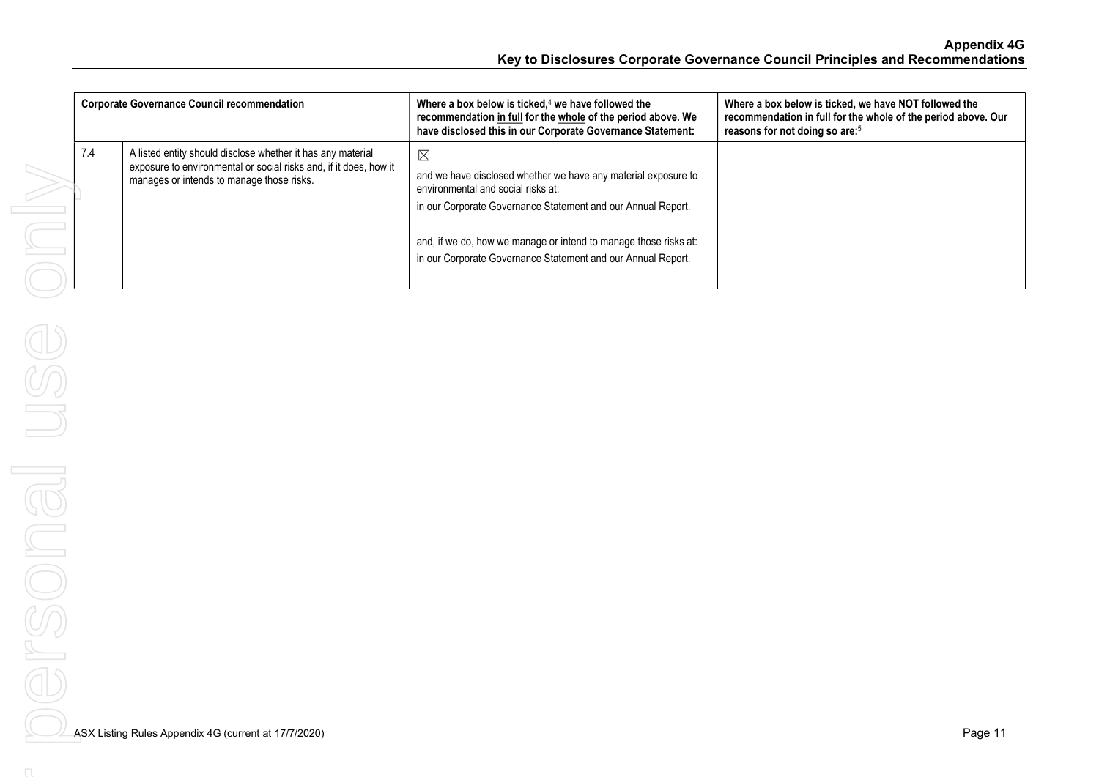| <b>Corporate Governance Council recommendation</b>                                                                                                                                   | Where a box below is ticked, $4$ we have followed the<br>recommendation in full for the whole of the period above. We<br>have disclosed this in our Corporate Governance Statement:                                                                                                                                     | Where a box below is ticked, we have NOT followed the<br>recommendation in full for the whole of the period above. Our<br>reasons for not doing so are: <sup>5</sup> |
|--------------------------------------------------------------------------------------------------------------------------------------------------------------------------------------|-------------------------------------------------------------------------------------------------------------------------------------------------------------------------------------------------------------------------------------------------------------------------------------------------------------------------|----------------------------------------------------------------------------------------------------------------------------------------------------------------------|
| 7.4<br>A listed entity should disclose whether it has any material<br>exposure to environmental or social risks and, if it does, how it<br>manages or intends to manage those risks. | $\boxtimes$<br>and we have disclosed whether we have any material exposure to<br>environmental and social risks at:<br>in our Corporate Governance Statement and our Annual Report.<br>and, if we do, how we manage or intend to manage those risks at:<br>in our Corporate Governance Statement and our Annual Report. |                                                                                                                                                                      |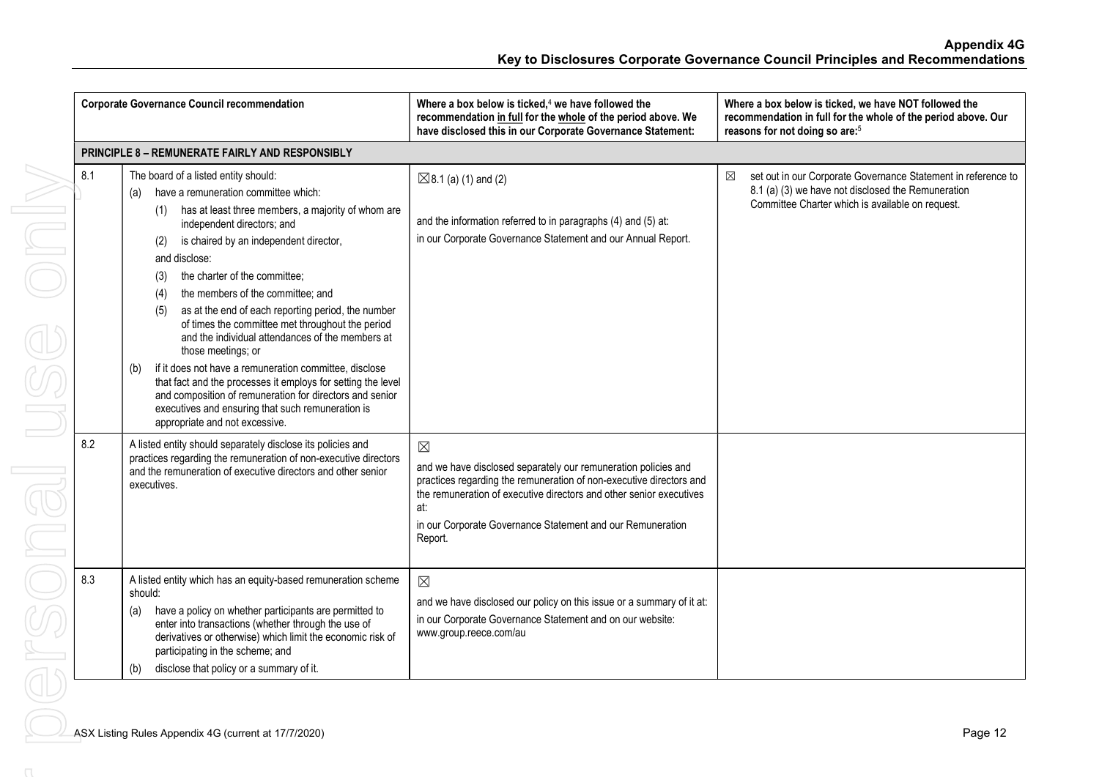|                                                        | <b>Corporate Governance Council recommendation</b>                                                                                                                                                                                                                                                                                                                                                                                                                                                        | Where a box below is ticked, $4$ we have followed the<br>recommendation in full for the whole of the period above. We<br>have disclosed this in our Corporate Governance Statement:                                                                                                                         | Where a box below is ticked, we have NOT followed the<br>recommendation in full for the whole of the period above. Our<br>reasons for not doing so are: <sup>5</sup>         |  |
|--------------------------------------------------------|-----------------------------------------------------------------------------------------------------------------------------------------------------------------------------------------------------------------------------------------------------------------------------------------------------------------------------------------------------------------------------------------------------------------------------------------------------------------------------------------------------------|-------------------------------------------------------------------------------------------------------------------------------------------------------------------------------------------------------------------------------------------------------------------------------------------------------------|------------------------------------------------------------------------------------------------------------------------------------------------------------------------------|--|
| <b>PRINCIPLE 8 - REMUNERATE FAIRLY AND RESPONSIBLY</b> |                                                                                                                                                                                                                                                                                                                                                                                                                                                                                                           |                                                                                                                                                                                                                                                                                                             |                                                                                                                                                                              |  |
| 8.1                                                    | The board of a listed entity should:<br>have a remuneration committee which:<br>(a)<br>has at least three members, a majority of whom are<br>(1)<br>independent directors; and<br>is chaired by an independent director,<br>(2)<br>and disclose:<br>the charter of the committee;<br>(3)<br>the members of the committee; and<br>(4)<br>as at the end of each reporting period, the number<br>(5)<br>of times the committee met throughout the period<br>and the individual attendances of the members at | $\boxtimes$ 8.1 (a) (1) and (2)<br>and the information referred to in paragraphs (4) and (5) at:<br>in our Corporate Governance Statement and our Annual Report.                                                                                                                                            | set out in our Corporate Governance Statement in reference to<br>⊠<br>8.1 (a) (3) we have not disclosed the Remuneration<br>Committee Charter which is available on request. |  |
|                                                        | those meetings; or<br>if it does not have a remuneration committee, disclose<br>(b)<br>that fact and the processes it employs for setting the level<br>and composition of remuneration for directors and senior<br>executives and ensuring that such remuneration is<br>appropriate and not excessive.                                                                                                                                                                                                    |                                                                                                                                                                                                                                                                                                             |                                                                                                                                                                              |  |
| 8.2                                                    | A listed entity should separately disclose its policies and<br>practices regarding the remuneration of non-executive directors<br>and the remuneration of executive directors and other senior<br>executives.                                                                                                                                                                                                                                                                                             | $\boxtimes$<br>and we have disclosed separately our remuneration policies and<br>practices regarding the remuneration of non-executive directors and<br>the remuneration of executive directors and other senior executives<br>at:<br>in our Corporate Governance Statement and our Remuneration<br>Report. |                                                                                                                                                                              |  |
| 8.3                                                    | A listed entity which has an equity-based remuneration scheme<br>should:<br>have a policy on whether participants are permitted to<br>(a)<br>enter into transactions (whether through the use of<br>derivatives or otherwise) which limit the economic risk of<br>participating in the scheme; and<br>disclose that policy or a summary of it.<br>(b)                                                                                                                                                     | $\boxtimes$<br>and we have disclosed our policy on this issue or a summary of it at:<br>in our Corporate Governance Statement and on our website:<br>www.group.reece.com/au                                                                                                                                 |                                                                                                                                                                              |  |
|                                                        | ASX Listing Rules Appendix 4G (current at 17/7/2020)                                                                                                                                                                                                                                                                                                                                                                                                                                                      |                                                                                                                                                                                                                                                                                                             | Page 12                                                                                                                                                                      |  |
|                                                        |                                                                                                                                                                                                                                                                                                                                                                                                                                                                                                           |                                                                                                                                                                                                                                                                                                             |                                                                                                                                                                              |  |